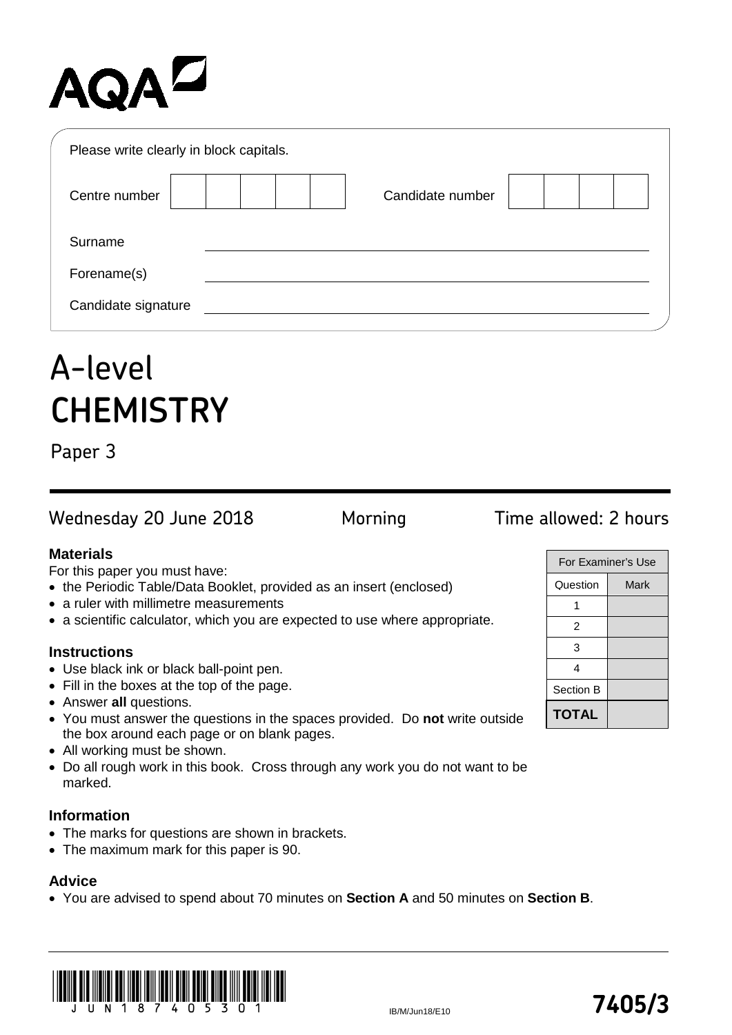# AQA<sup>D</sup>

| Please write clearly in block capitals. |                  |  |
|-----------------------------------------|------------------|--|
| Centre number                           | Candidate number |  |
| Surname                                 |                  |  |
| Forename(s)                             |                  |  |
| Candidate signature                     |                  |  |

## A-level **CHEMISTRY**

Paper 3

Wednesday 20 June 2018 Morning Time allowed: 2 hours

**TOTAL**

For Examiner's Use Question | Mark

### **Materials**

For this paper you must have:

- the Periodic Table/Data Booklet, provided as an insert (enclosed)
- a ruler with millimetre measurements
- a scientific calculator, which you are expected to use where appropriate.

#### **Instructions**

- Use black ink or black ball-point pen.
- Fill in the boxes at the top of the page.
- Answer **all** questions.
- You must answer the questions in the spaces provided. Do **not** write outside the box around each page or on blank pages.
- All working must be shown.
- Do all rough work in this book. Cross through any work you do not want to be marked.

### **Information**

- The marks for questions are shown in brackets.
- The maximum mark for this paper is 90.

## **Advice**

• You are advised to spend about 70 minutes on **Section A** and 50 minutes on **Section B**.

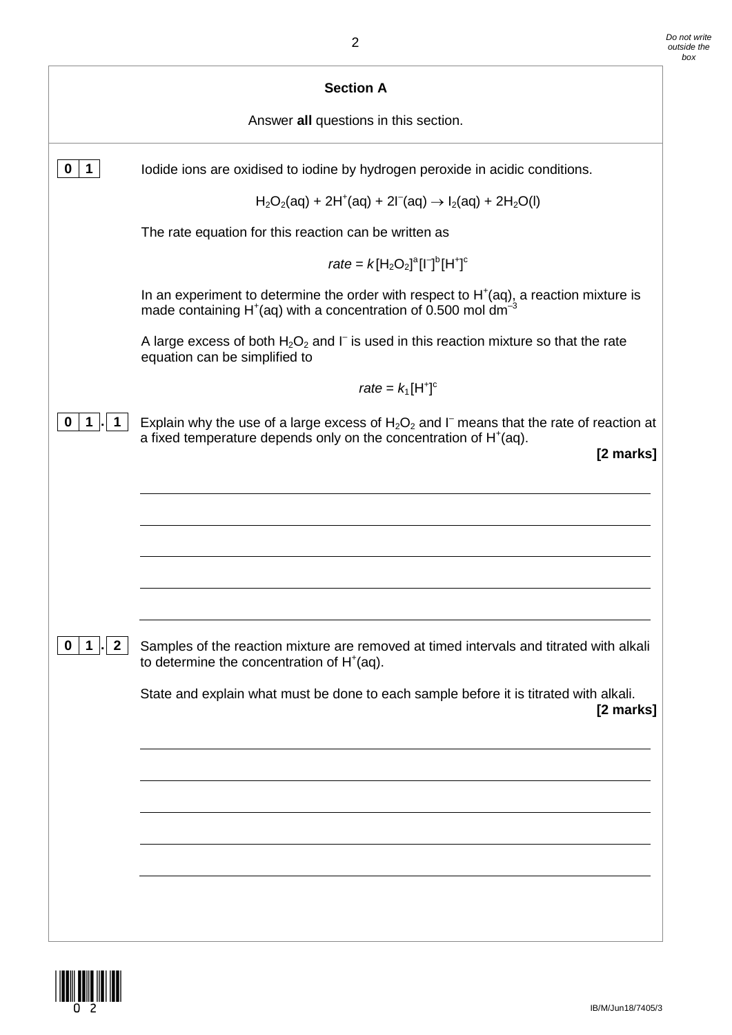|                                       | <b>Section A</b>                                                                                                                                                                       |  |  |  |  |
|---------------------------------------|----------------------------------------------------------------------------------------------------------------------------------------------------------------------------------------|--|--|--|--|
| Answer all questions in this section. |                                                                                                                                                                                        |  |  |  |  |
| $\mathbf 1$<br>0                      | lodide ions are oxidised to iodine by hydrogen peroxide in acidic conditions.                                                                                                          |  |  |  |  |
|                                       | $H_2O_2(aq) + 2H^+(aq) + 2I^-(aq) \rightarrow I_2(aq) + 2H_2O(l)$                                                                                                                      |  |  |  |  |
|                                       | The rate equation for this reaction can be written as                                                                                                                                  |  |  |  |  |
|                                       | rate = $k[H_2O_2]^a[I^-]^b[H^+]^c$                                                                                                                                                     |  |  |  |  |
|                                       | In an experiment to determine the order with respect to $H^*(aq)$ , a reaction mixture is<br>made containing $H^+(aq)$ with a concentration of 0.500 mol dm <sup>-3</sup>              |  |  |  |  |
|                                       | A large excess of both $H_2O_2$ and $I^-$ is used in this reaction mixture so that the rate<br>equation can be simplified to                                                           |  |  |  |  |
|                                       | <i>rate</i> = $k_1[H^*]$ <sup>c</sup>                                                                                                                                                  |  |  |  |  |
|                                       | Explain why the use of a large excess of $H_2O_2$ and $\Gamma$ means that the rate of reaction at<br>a fixed temperature depends only on the concentration of $H^+(aq)$ .<br>[2 marks] |  |  |  |  |
|                                       |                                                                                                                                                                                        |  |  |  |  |
|                                       |                                                                                                                                                                                        |  |  |  |  |
|                                       |                                                                                                                                                                                        |  |  |  |  |
|                                       |                                                                                                                                                                                        |  |  |  |  |
| $\mathbf{2}$<br>$\bf{0}$<br>1         | Samples of the reaction mixture are removed at timed intervals and titrated with alkali<br>to determine the concentration of $H^+(aq)$ .                                               |  |  |  |  |
|                                       | State and explain what must be done to each sample before it is titrated with alkali.<br>[2 marks]                                                                                     |  |  |  |  |
|                                       |                                                                                                                                                                                        |  |  |  |  |
|                                       |                                                                                                                                                                                        |  |  |  |  |
|                                       |                                                                                                                                                                                        |  |  |  |  |
|                                       |                                                                                                                                                                                        |  |  |  |  |
|                                       |                                                                                                                                                                                        |  |  |  |  |
|                                       |                                                                                                                                                                                        |  |  |  |  |

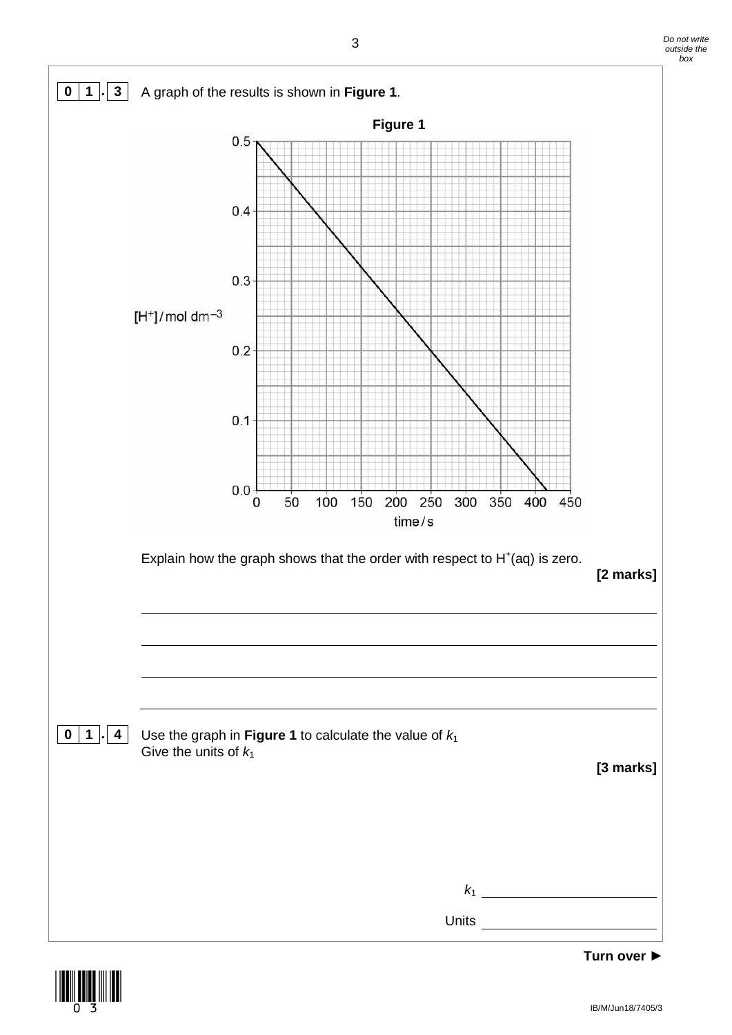



IB/M/Jun18/7405/3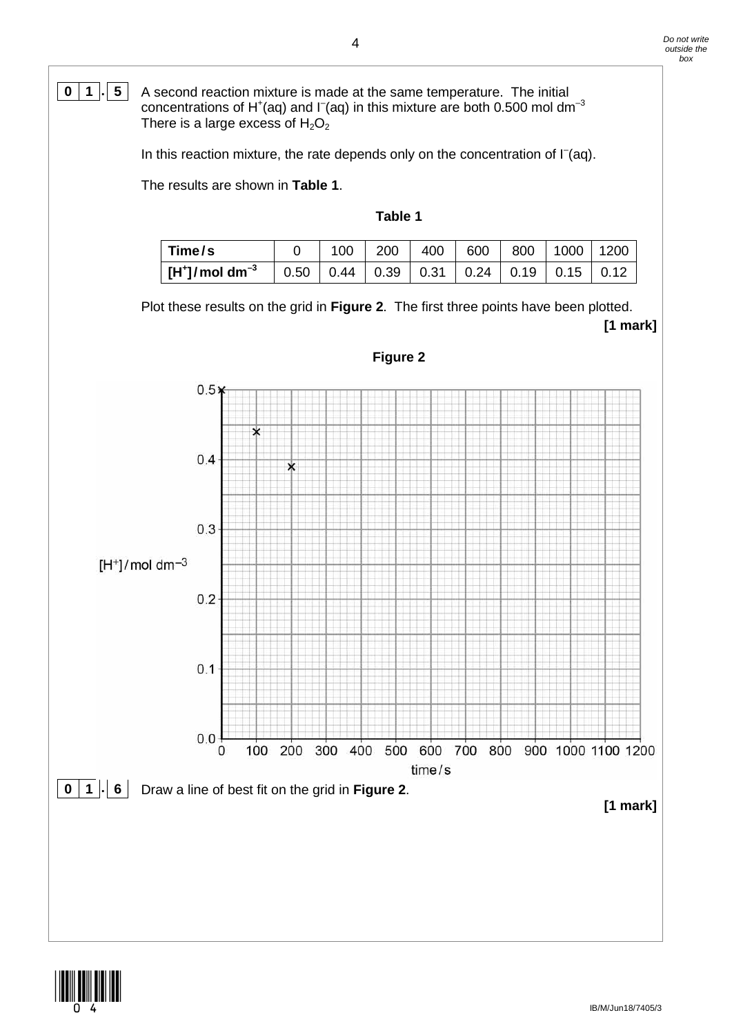

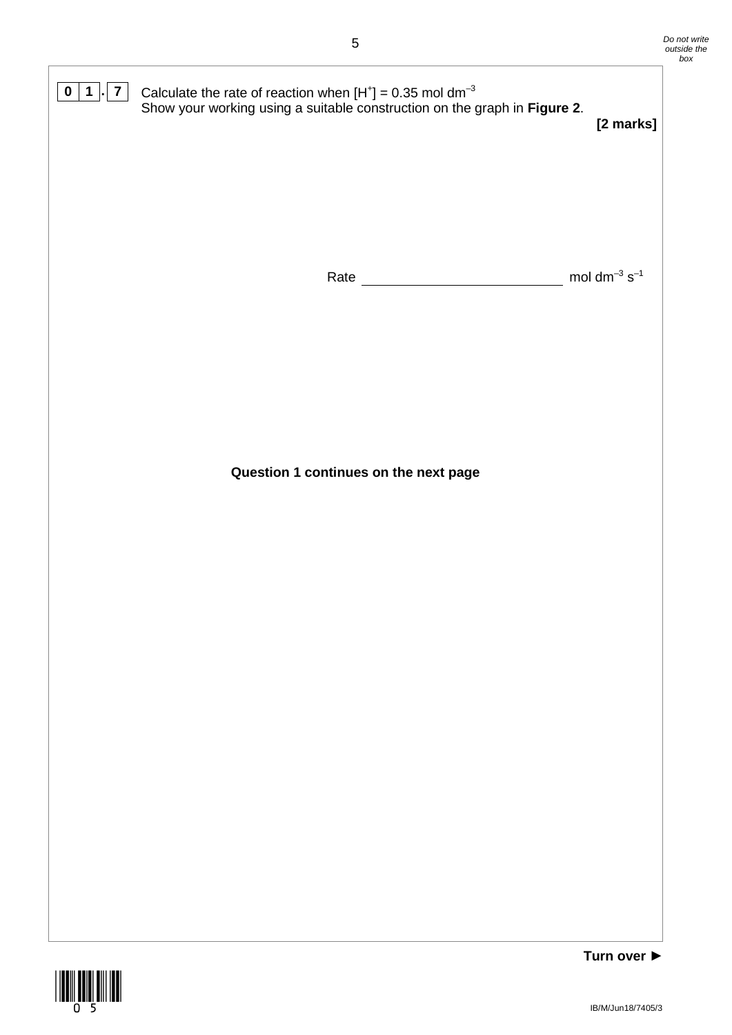

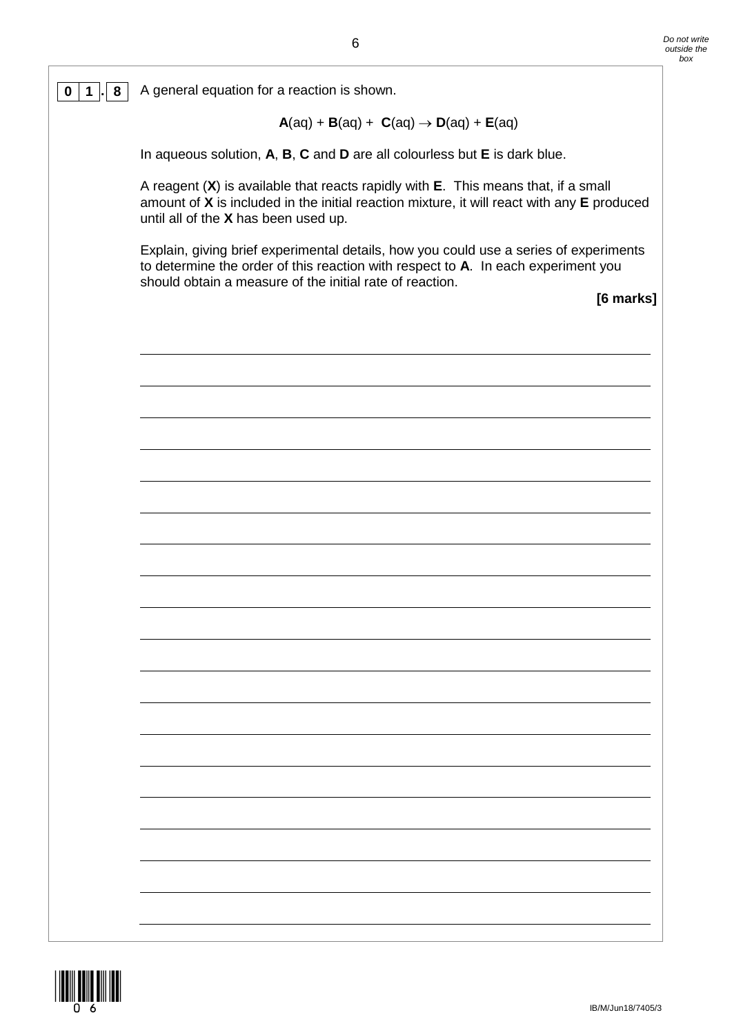| 8<br>0<br>1 | A general equation for a reaction is shown.                                                                                                                                                                                       |  |  |  |
|-------------|-----------------------------------------------------------------------------------------------------------------------------------------------------------------------------------------------------------------------------------|--|--|--|
|             | $A(aq) + B(aq) + C(aq) \rightarrow D(aq) + E(aq)$                                                                                                                                                                                 |  |  |  |
|             | In aqueous solution, A, B, C and D are all colourless but E is dark blue.                                                                                                                                                         |  |  |  |
|             | A reagent $(X)$ is available that reacts rapidly with $E$ . This means that, if a small<br>amount of $X$ is included in the initial reaction mixture, it will react with any $E$ produced<br>until all of the X has been used up. |  |  |  |
|             | Explain, giving brief experimental details, how you could use a series of experiments<br>to determine the order of this reaction with respect to A. In each experiment you                                                        |  |  |  |
|             | should obtain a measure of the initial rate of reaction.<br>[6 marks]                                                                                                                                                             |  |  |  |
|             |                                                                                                                                                                                                                                   |  |  |  |
|             |                                                                                                                                                                                                                                   |  |  |  |
|             |                                                                                                                                                                                                                                   |  |  |  |
|             |                                                                                                                                                                                                                                   |  |  |  |
|             |                                                                                                                                                                                                                                   |  |  |  |
|             |                                                                                                                                                                                                                                   |  |  |  |
|             |                                                                                                                                                                                                                                   |  |  |  |
|             |                                                                                                                                                                                                                                   |  |  |  |
|             |                                                                                                                                                                                                                                   |  |  |  |
|             |                                                                                                                                                                                                                                   |  |  |  |
|             |                                                                                                                                                                                                                                   |  |  |  |
|             |                                                                                                                                                                                                                                   |  |  |  |
|             |                                                                                                                                                                                                                                   |  |  |  |
|             |                                                                                                                                                                                                                                   |  |  |  |
|             |                                                                                                                                                                                                                                   |  |  |  |
|             |                                                                                                                                                                                                                                   |  |  |  |
|             |                                                                                                                                                                                                                                   |  |  |  |
|             |                                                                                                                                                                                                                                   |  |  |  |
|             |                                                                                                                                                                                                                                   |  |  |  |
|             |                                                                                                                                                                                                                                   |  |  |  |

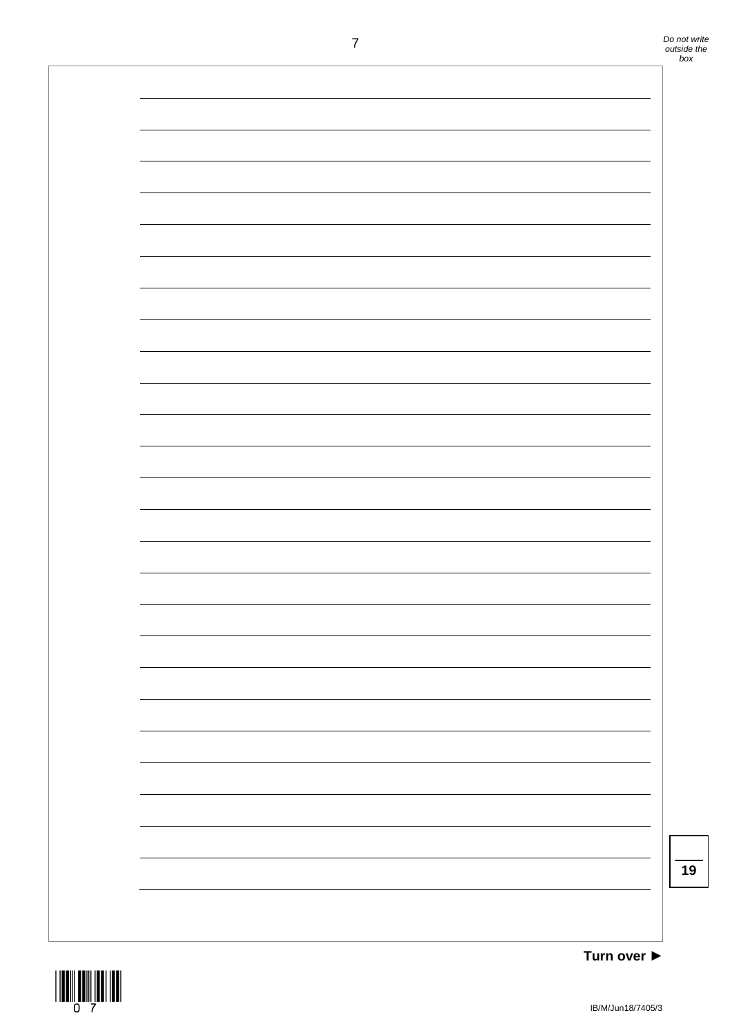



**19**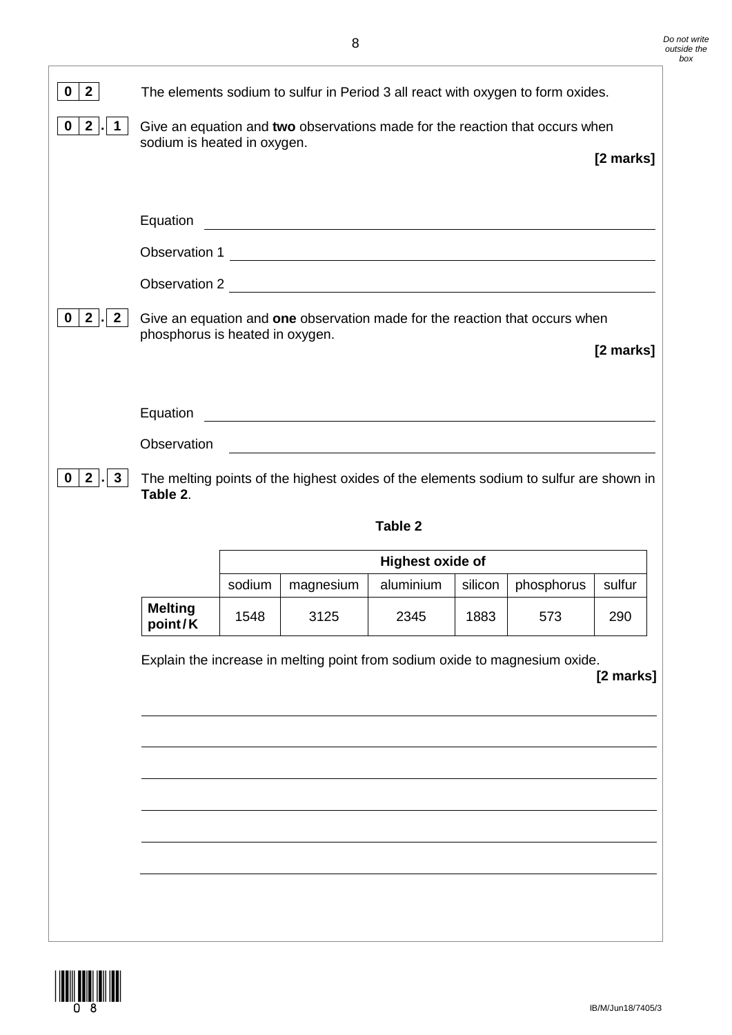| $\mathbf{2}$<br>0                   |                                     |        | The elements sodium to sulfur in Period 3 all react with oxygen to form oxides.                                                                                                                                 |                                           |         |            |           |
|-------------------------------------|-------------------------------------|--------|-----------------------------------------------------------------------------------------------------------------------------------------------------------------------------------------------------------------|-------------------------------------------|---------|------------|-----------|
| $2$   1<br>0                        | sodium is heated in oxygen.         |        | Give an equation and two observations made for the reaction that occurs when                                                                                                                                    |                                           |         |            | [2 marks] |
|                                     | Equation                            |        | <u> 1980 - Johann Barn, amerikan besteman besteman besteman besteman besteman besteman besteman besteman bestema</u><br>Observation 1                                                                           |                                           |         |            |           |
| $2$ . 2<br>$\mathbf 0$              | phosphorus is heated in oxygen.     |        | Give an equation and one observation made for the reaction that occurs when                                                                                                                                     |                                           |         |            | [2 marks] |
| 2 <sub>1</sub><br>$\mathbf{3}$<br>0 | Equation<br>Observation<br>Table 2. |        | <u>and the state of the state of the state of the state of the state of the state of the state of the state of th</u><br>The melting points of the highest oxides of the elements sodium to sulfur are shown in |                                           |         |            |           |
|                                     |                                     |        |                                                                                                                                                                                                                 | <b>Table 2</b><br><b>Highest oxide of</b> |         |            |           |
|                                     |                                     | sodium | magnesium                                                                                                                                                                                                       | aluminium                                 | silicon | phosphorus | sulfur    |
|                                     | <b>Melting</b><br>point/K           | 1548   | 3125                                                                                                                                                                                                            | 2345                                      | 1883    | 573        | 290       |
|                                     |                                     |        | Explain the increase in melting point from sodium oxide to magnesium oxide.                                                                                                                                     |                                           |         |            | [2 marks] |
|                                     |                                     |        |                                                                                                                                                                                                                 |                                           |         |            |           |
|                                     |                                     |        |                                                                                                                                                                                                                 |                                           |         |            |           |
|                                     |                                     |        |                                                                                                                                                                                                                 |                                           |         |            |           |

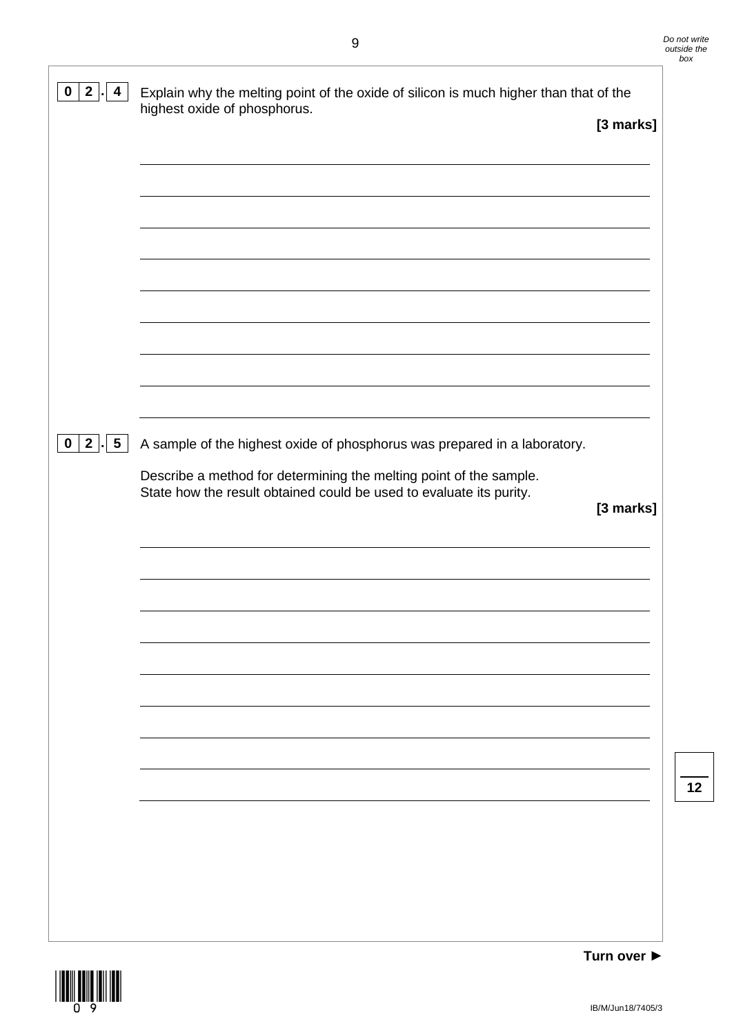| $\overline{\mathbf{2}}$<br>0<br>4    | Explain why the melting point of the oxide of silicon is much higher than that of the<br>highest oxide of phosphorus.                                                                                                  | [3 marks] |
|--------------------------------------|------------------------------------------------------------------------------------------------------------------------------------------------------------------------------------------------------------------------|-----------|
|                                      | and the control of the control of the control of the control of the control of the control of the control of the                                                                                                       |           |
| $5\phantom{.0}$<br>$\mathbf{2}$<br>0 | A sample of the highest oxide of phosphorus was prepared in a laboratory.<br>Describe a method for determining the melting point of the sample.<br>State how the result obtained could be used to evaluate its purity. |           |
|                                      |                                                                                                                                                                                                                        | [3 marks] |
|                                      |                                                                                                                                                                                                                        |           |
|                                      |                                                                                                                                                                                                                        |           |



**12**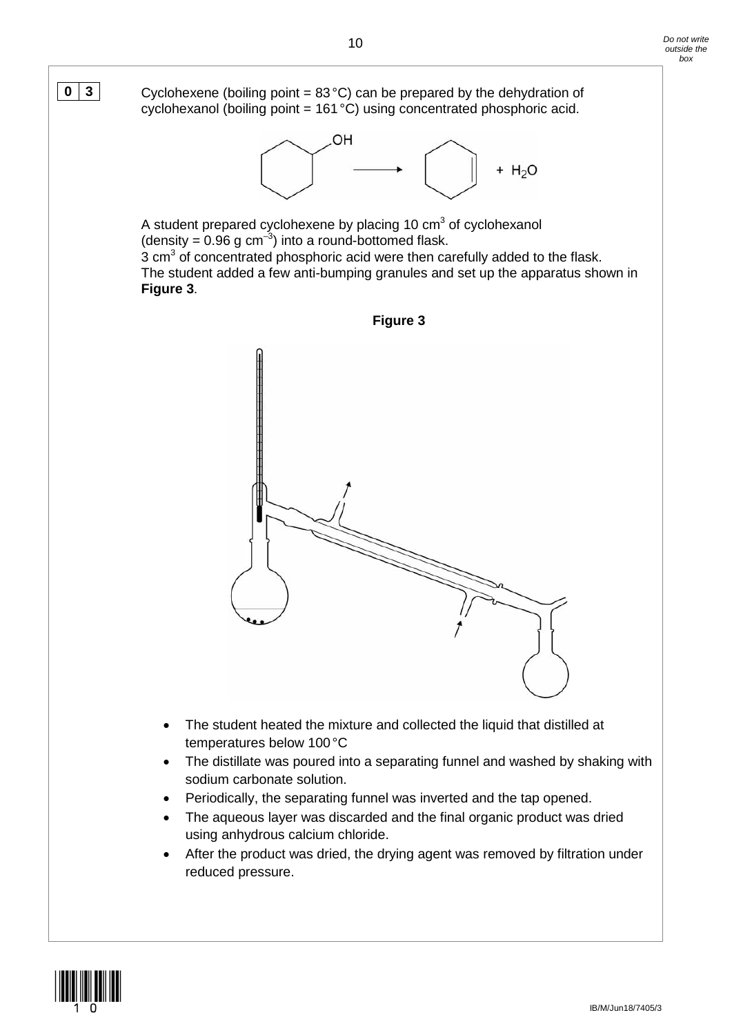**0**  $\boxed{3}$  Cyclohexene (boiling point = 83 °C) can be prepared by the dehydration of cyclohexanol (boiling point = 161°C) using concentrated phosphoric acid.



A student prepared cyclohexene by placing 10 cm<sup>3</sup> of cyclohexanol (density =  $0.96$  g cm<sup>-3</sup>) into a round-bottomed flask.

 $3 \text{ cm}^3$  of concentrated phosphoric acid were then carefully added to the flask. The student added a few anti-bumping granules and set up the apparatus shown in **Figure 3**.



- The student heated the mixture and collected the liquid that distilled at temperatures below 100°C
- The distillate was poured into a separating funnel and washed by shaking with sodium carbonate solution.
- Periodically, the separating funnel was inverted and the tap opened.
- The aqueous layer was discarded and the final organic product was dried using anhydrous calcium chloride.
- After the product was dried, the drying agent was removed by filtration under reduced pressure.

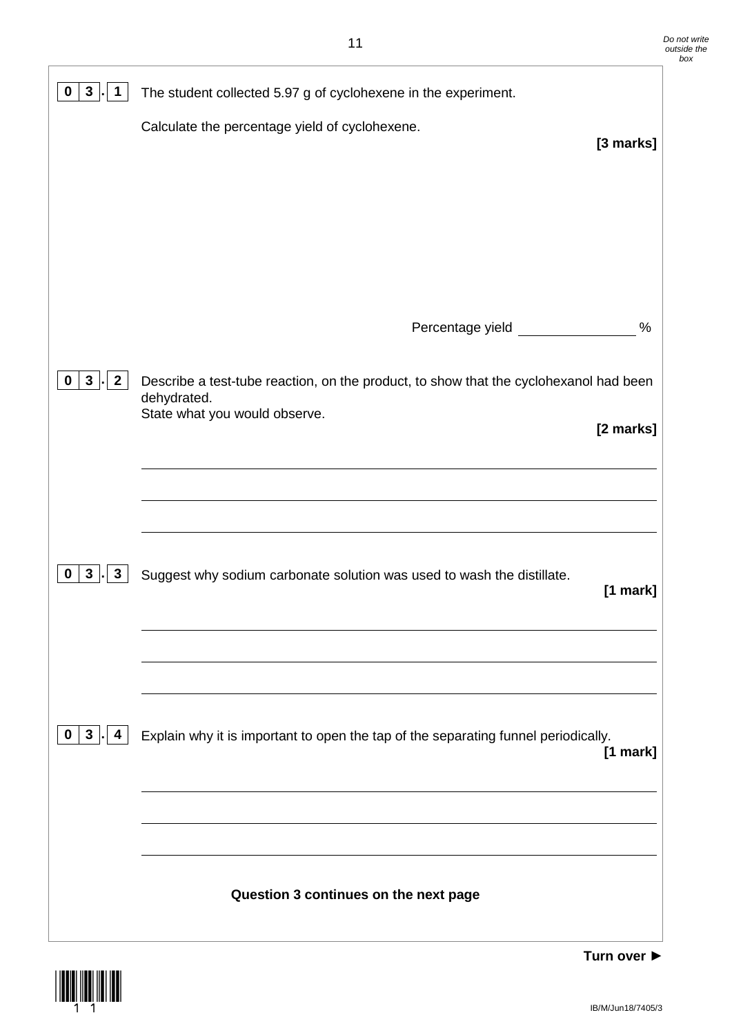| 3<br>U                            | The student collected 5.97 g of cyclohexene in the experiment.                                       |
|-----------------------------------|------------------------------------------------------------------------------------------------------|
|                                   | Calculate the percentage yield of cyclohexene.<br>[3 marks]                                          |
|                                   |                                                                                                      |
|                                   |                                                                                                      |
|                                   |                                                                                                      |
|                                   |                                                                                                      |
|                                   | Percentage yield<br>%                                                                                |
| $3$ .<br>$\mathbf{2}$<br>$\bf{0}$ | Describe a test-tube reaction, on the product, to show that the cyclohexanol had been<br>dehydrated. |
|                                   | State what you would observe.<br>[2 marks]                                                           |
|                                   |                                                                                                      |
|                                   |                                                                                                      |
| $3\phantom{a}$<br>3<br>0          | Suggest why sodium carbonate solution was used to wash the distillate.<br>$[1$ mark]                 |
|                                   |                                                                                                      |
| $\mathbf{3}$<br>$\mathbf 0$<br>4  | Explain why it is important to open the tap of the separating funnel periodically.<br>$[1$ mark]     |
|                                   |                                                                                                      |
|                                   |                                                                                                      |
|                                   | Question 3 continues on the next page                                                                |

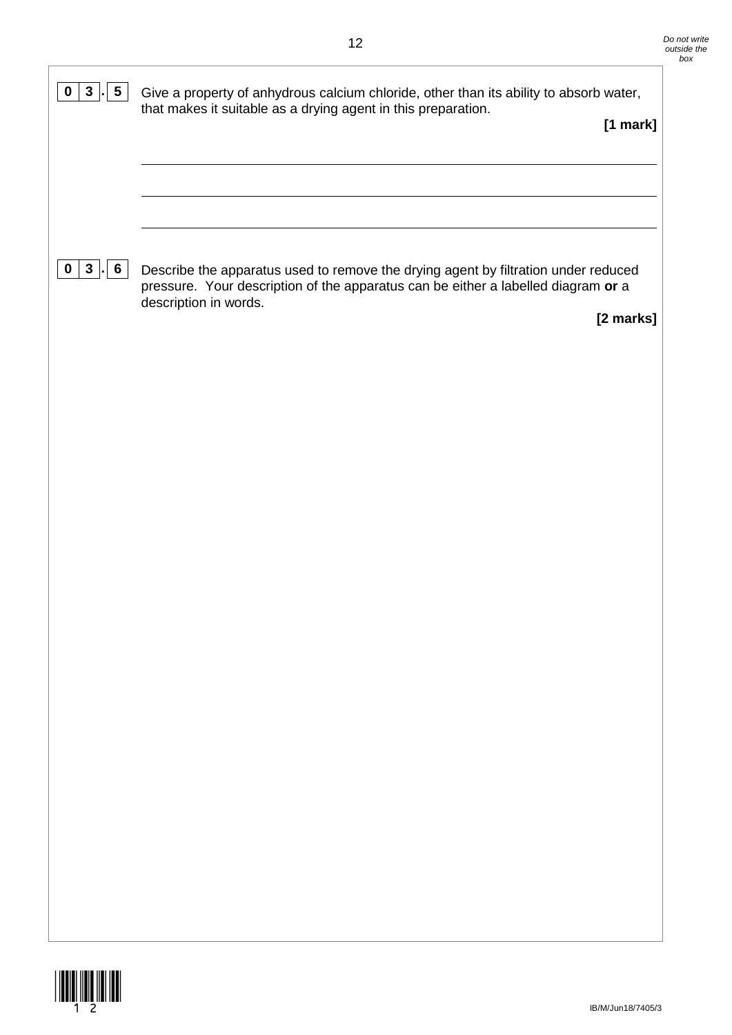**0 3 . 5** Give a property of anhydrous calcium chloride, other than its ability to absorb water, that makes it suitable as a drying agent in this preparation. **[1 mark] 0 3 . 6** Describe the apparatus used to remove the drying agent by filtration under reduced pressure. Your description of the apparatus can be either a labelled diagram **or** a description in words. **[2 marks]**

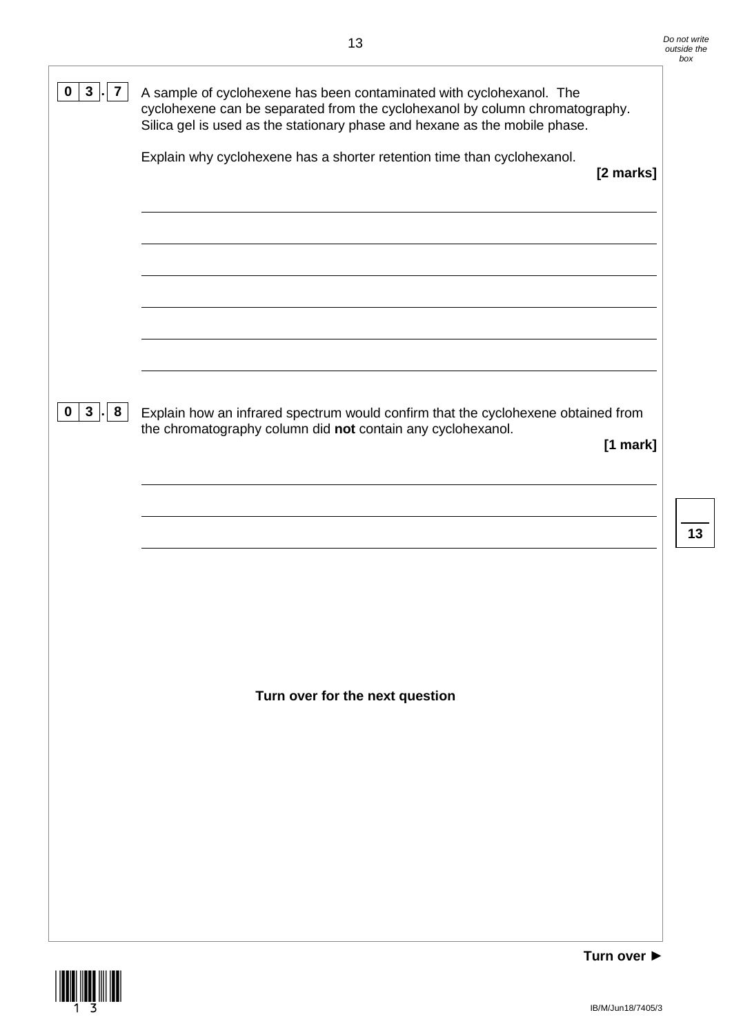| $3\phantom{a}$<br>0<br>$\mathbf{7}$ | A sample of cyclohexene has been contaminated with cyclohexanol. The<br>cyclohexene can be separated from the cyclohexanol by column chromatography.<br>Silica gel is used as the stationary phase and hexane as the mobile phase. |
|-------------------------------------|------------------------------------------------------------------------------------------------------------------------------------------------------------------------------------------------------------------------------------|
|                                     | Explain why cyclohexene has a shorter retention time than cyclohexanol.<br>[2 marks]                                                                                                                                               |
|                                     |                                                                                                                                                                                                                                    |
|                                     |                                                                                                                                                                                                                                    |
| 0   3     8                         | Explain how an infrared spectrum would confirm that the cyclohexene obtained from<br>the chromatography column did not contain any cyclohexanol.<br>[1 mark]                                                                       |
|                                     |                                                                                                                                                                                                                                    |
|                                     |                                                                                                                                                                                                                                    |
|                                     | Turn over for the next question                                                                                                                                                                                                    |
|                                     |                                                                                                                                                                                                                                    |
|                                     |                                                                                                                                                                                                                                    |
|                                     |                                                                                                                                                                                                                                    |



**13**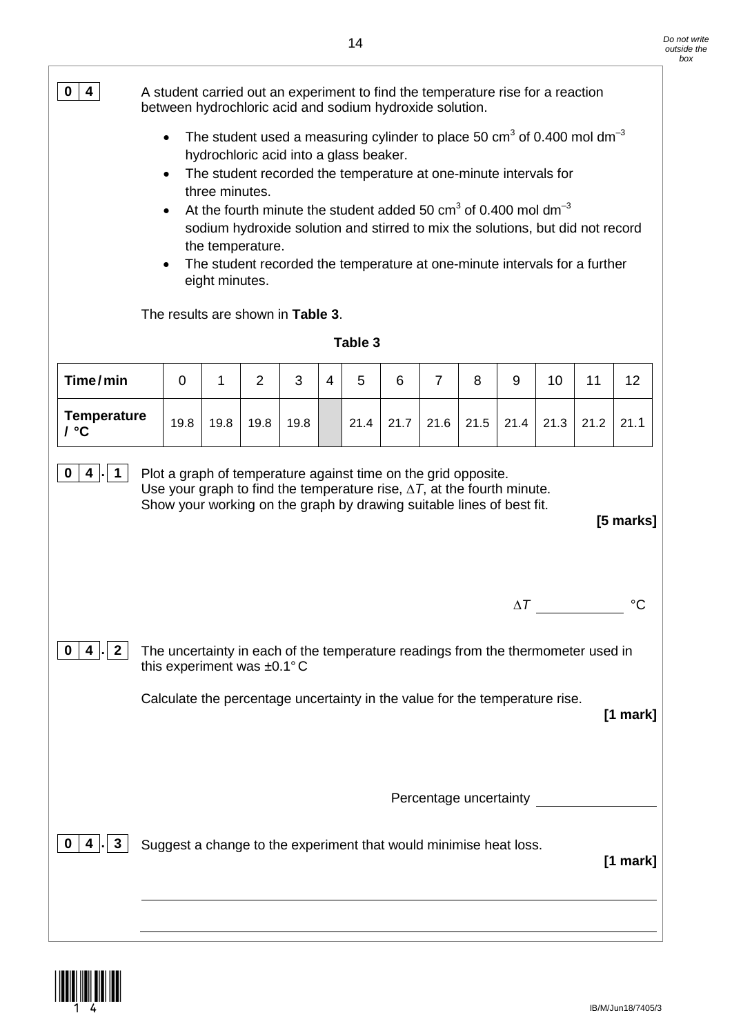

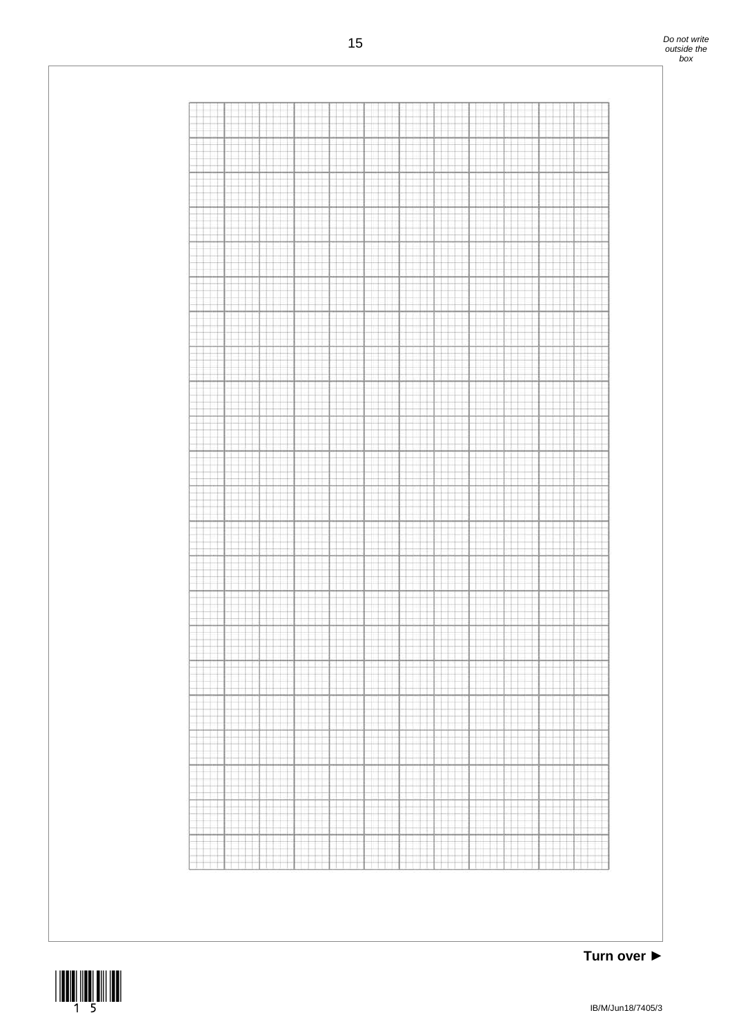

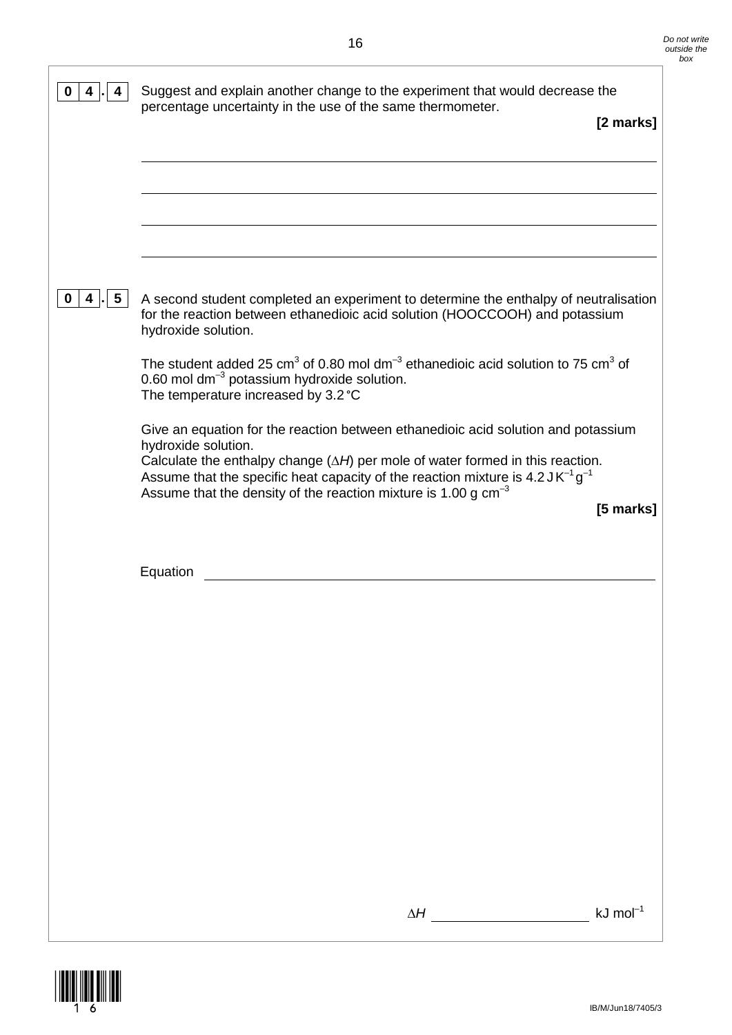|    | Suggest and explain another change to the experiment that would decrease the<br>percentage uncertainty in the use of the same thermometer.<br>[2 marks]                                                                                                                                                                                                                                                                                                                                                                                                                                                                                                                                                                                                                                                      |  |
|----|--------------------------------------------------------------------------------------------------------------------------------------------------------------------------------------------------------------------------------------------------------------------------------------------------------------------------------------------------------------------------------------------------------------------------------------------------------------------------------------------------------------------------------------------------------------------------------------------------------------------------------------------------------------------------------------------------------------------------------------------------------------------------------------------------------------|--|
| 5. | A second student completed an experiment to determine the enthalpy of neutralisation<br>for the reaction between ethanedioic acid solution (HOOCCOOH) and potassium<br>hydroxide solution.<br>The student added 25 $cm3$ of 0.80 mol dm <sup>-3</sup> ethanedioic acid solution to 75 $cm3$ of<br>0.60 mol dm <sup>-3</sup> potassium hydroxide solution.<br>The temperature increased by 3.2 °C<br>Give an equation for the reaction between ethanedioic acid solution and potassium<br>hydroxide solution.<br>Calculate the enthalpy change $(\Delta H)$ per mole of water formed in this reaction.<br>Assume that the specific heat capacity of the reaction mixture is $4.2 \text{ J K}^{-1} \text{ g}^{-1}$<br>Assume that the density of the reaction mixture is 1.00 $q \text{ cm}^{-3}$<br>[5 marks] |  |
|    | Equation                                                                                                                                                                                                                                                                                                                                                                                                                                                                                                                                                                                                                                                                                                                                                                                                     |  |
|    | $kJ$ mol <sup>-1</sup><br>$\Delta H$                                                                                                                                                                                                                                                                                                                                                                                                                                                                                                                                                                                                                                                                                                                                                                         |  |

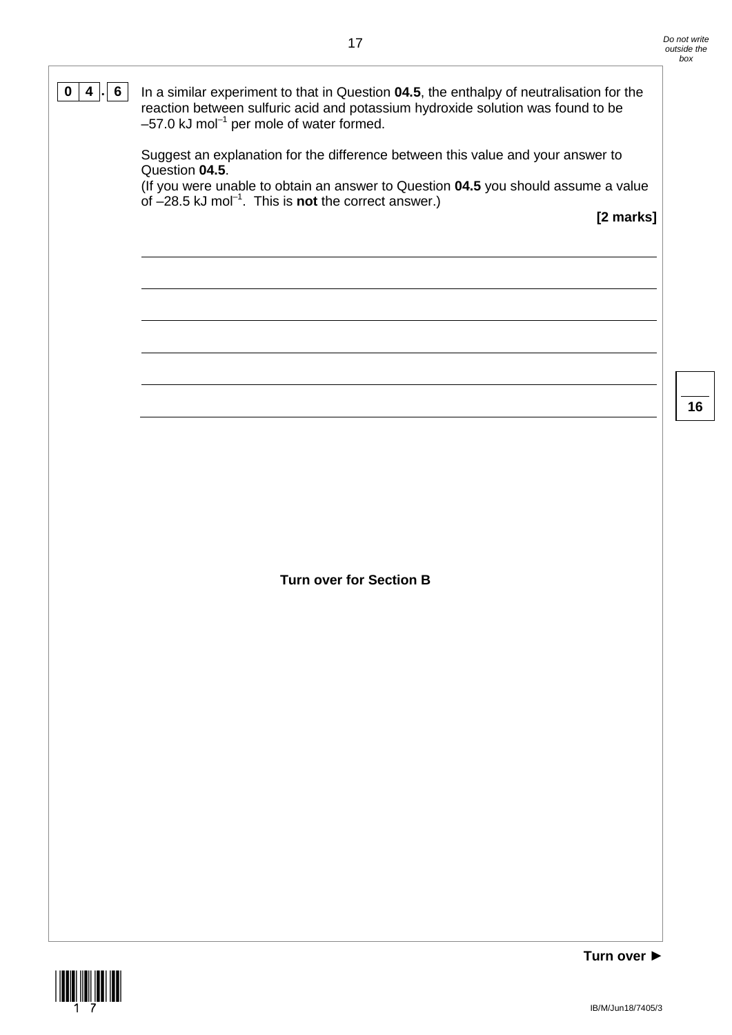**16**

| $\mathbf 0$<br>$4$ .<br>6 | In a similar experiment to that in Question 04.5, the enthalpy of neutralisation for the<br>reaction between sulfuric acid and potassium hydroxide solution was found to be<br>$-57.0$ kJ mol <sup>-1</sup> per mole of water formed. |
|---------------------------|---------------------------------------------------------------------------------------------------------------------------------------------------------------------------------------------------------------------------------------|
|                           | Suggest an explanation for the difference between this value and your answer to<br>Question 04.5.<br>(If you were unable to obtain an answer to Question 04.5 you should assume a value                                               |
|                           | of $-28.5$ kJ mol <sup>-1</sup> . This is <b>not</b> the correct answer.)<br>[2 marks]                                                                                                                                                |
|                           |                                                                                                                                                                                                                                       |
|                           |                                                                                                                                                                                                                                       |
|                           |                                                                                                                                                                                                                                       |
|                           |                                                                                                                                                                                                                                       |
|                           |                                                                                                                                                                                                                                       |
|                           |                                                                                                                                                                                                                                       |
|                           |                                                                                                                                                                                                                                       |
|                           |                                                                                                                                                                                                                                       |
|                           | <b>Turn over for Section B</b>                                                                                                                                                                                                        |
|                           |                                                                                                                                                                                                                                       |
|                           |                                                                                                                                                                                                                                       |
|                           |                                                                                                                                                                                                                                       |
|                           |                                                                                                                                                                                                                                       |
|                           |                                                                                                                                                                                                                                       |
|                           |                                                                                                                                                                                                                                       |
|                           |                                                                                                                                                                                                                                       |
|                           |                                                                                                                                                                                                                                       |

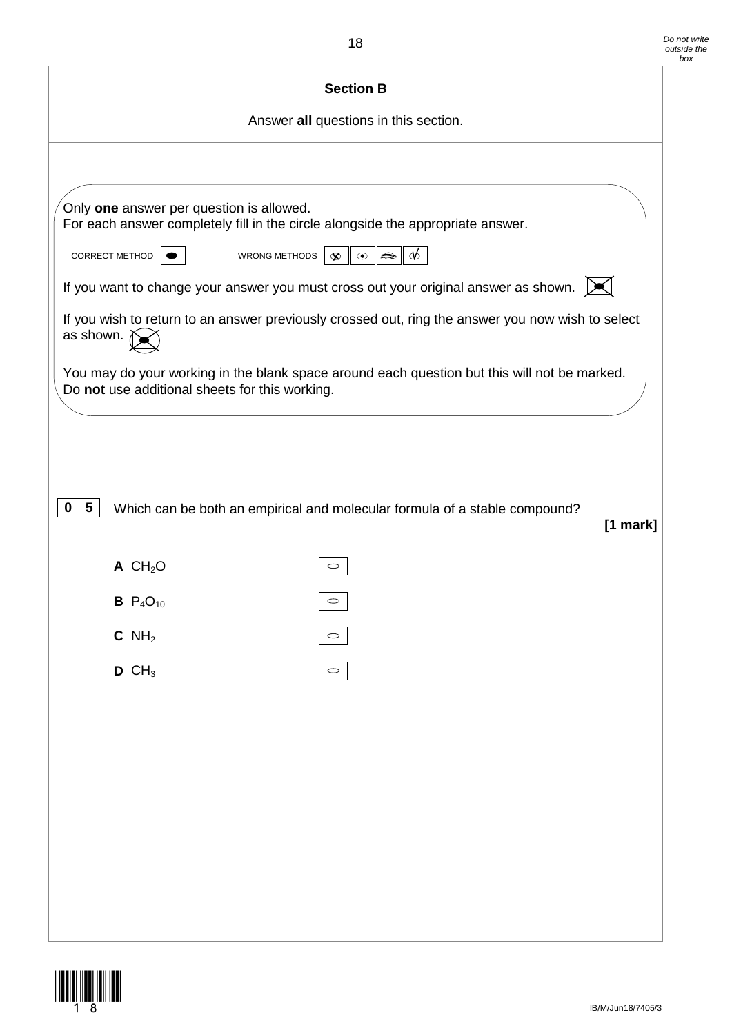|                      | <b>Section B</b>                               |                                                                                                      |            |  |  |
|----------------------|------------------------------------------------|------------------------------------------------------------------------------------------------------|------------|--|--|
|                      |                                                | Answer all questions in this section.                                                                |            |  |  |
|                      |                                                |                                                                                                      |            |  |  |
|                      | Only one answer per question is allowed.       | For each answer completely fill in the circle alongside the appropriate answer.                      |            |  |  |
|                      | CORRECT METHOD<br>WRONG METHODS                | $\phi$<br>$\infty$<br>$\circ$ $\Rightarrow$                                                          |            |  |  |
|                      |                                                | If you want to change your answer you must cross out your original answer as shown. $\triangleright$ |            |  |  |
| as shown.            |                                                | If you wish to return to an answer previously crossed out, ring the answer you now wish to select    |            |  |  |
|                      | Do not use additional sheets for this working. | You may do your working in the blank space around each question but this will not be marked.         |            |  |  |
|                      |                                                |                                                                                                      |            |  |  |
| $5\phantom{.0}$<br>0 |                                                | Which can be both an empirical and molecular formula of a stable compound?                           | $[1$ mark] |  |  |
|                      | A CH <sub>2</sub> O                            | $\circlearrowright$                                                                                  |            |  |  |
|                      | <b>B</b> $P_4O_{10}$                           | $\circlearrowright$                                                                                  |            |  |  |
|                      | $C$ NH <sub>2</sub>                            | $\hspace{1.5cm} \circ$                                                                               |            |  |  |
|                      | $D$ CH <sub>3</sub>                            | $\circ$                                                                                              |            |  |  |
|                      |                                                |                                                                                                      |            |  |  |
|                      |                                                |                                                                                                      |            |  |  |
|                      |                                                |                                                                                                      |            |  |  |
|                      |                                                |                                                                                                      |            |  |  |
|                      |                                                |                                                                                                      |            |  |  |
|                      |                                                |                                                                                                      |            |  |  |
|                      |                                                |                                                                                                      |            |  |  |

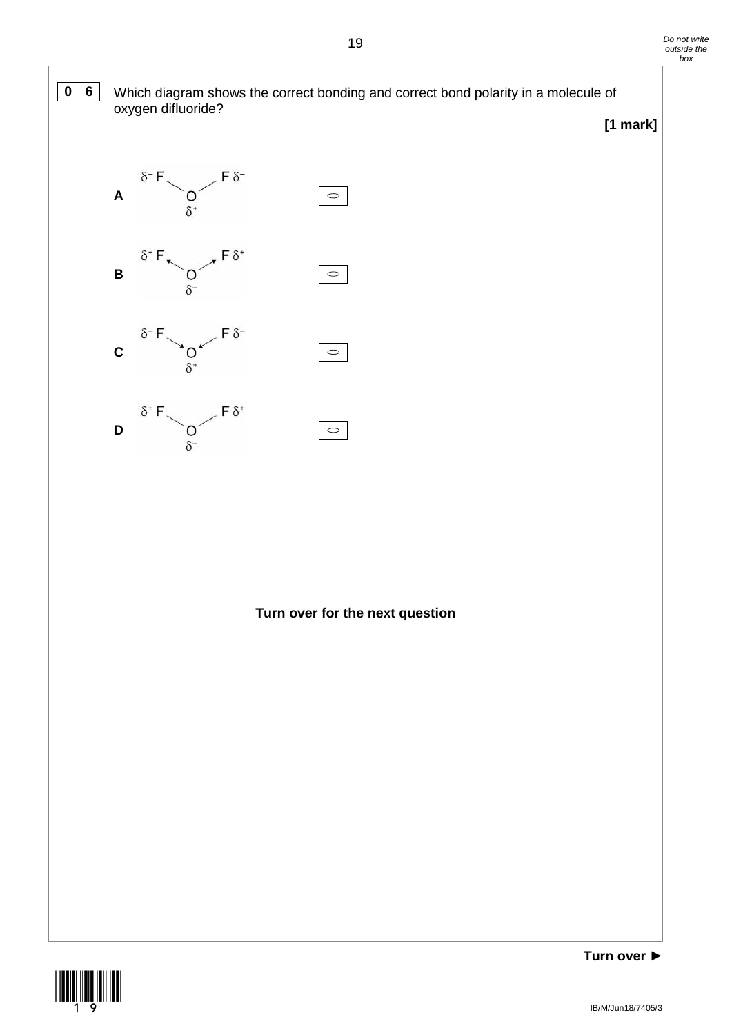

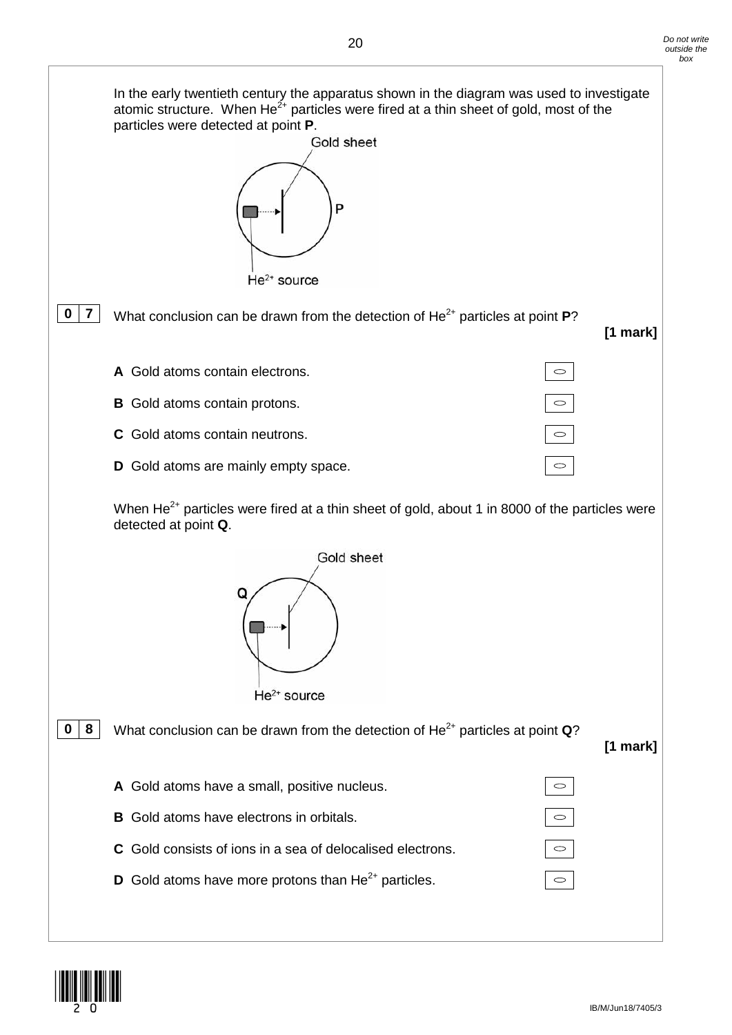

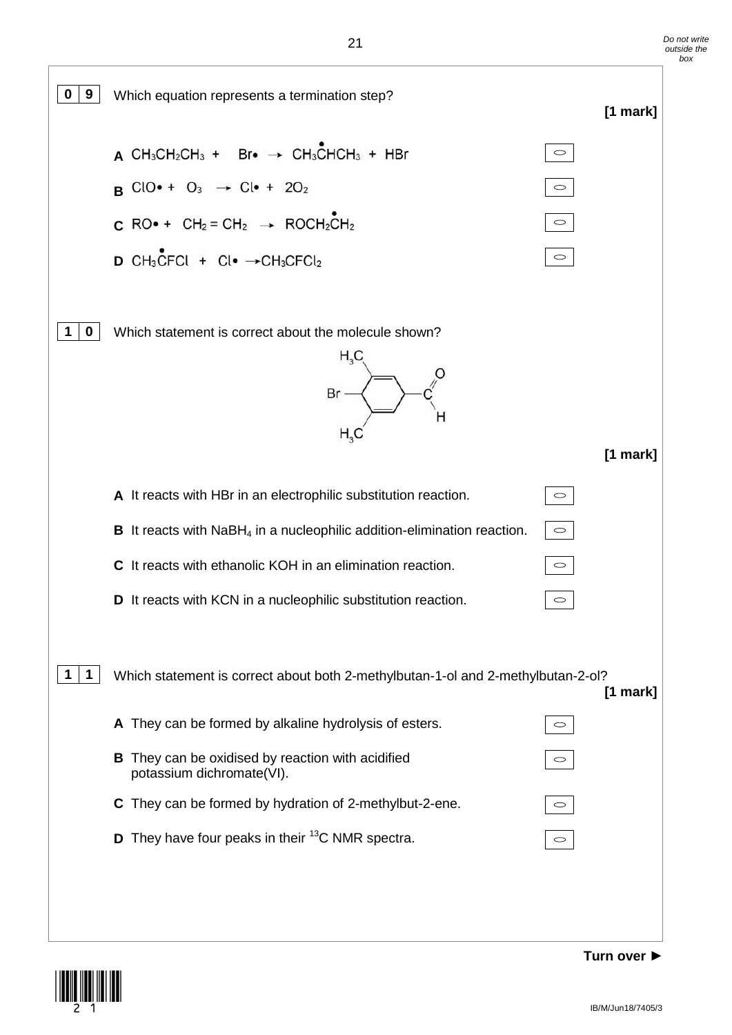

<u>|| || || || || || || || || || || ||</u>

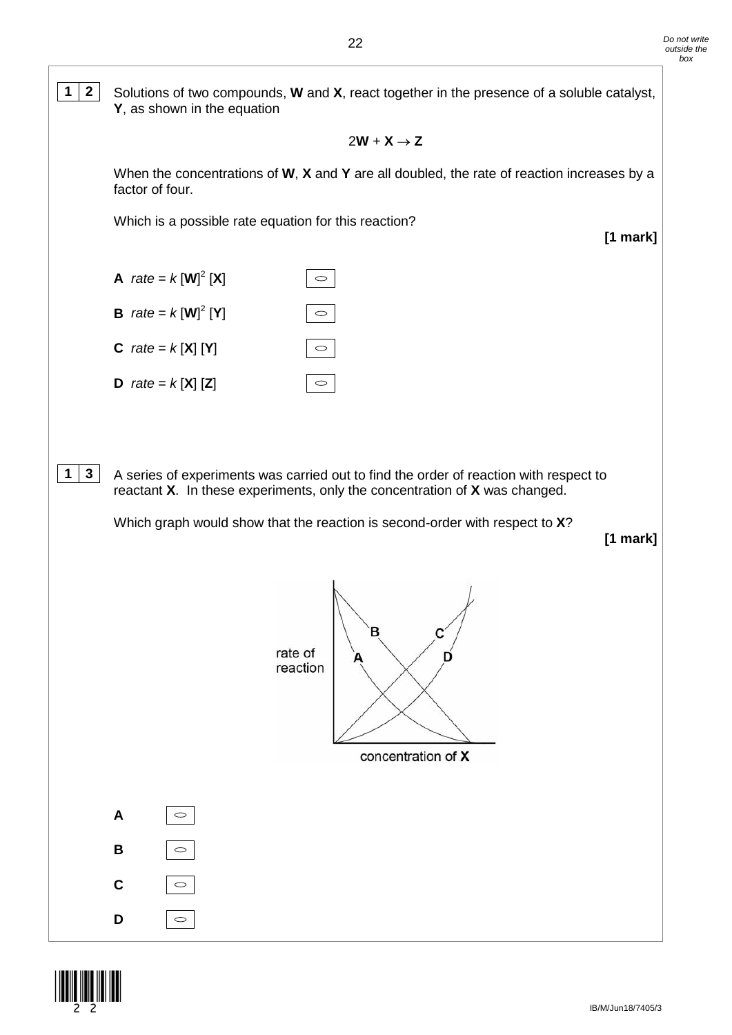

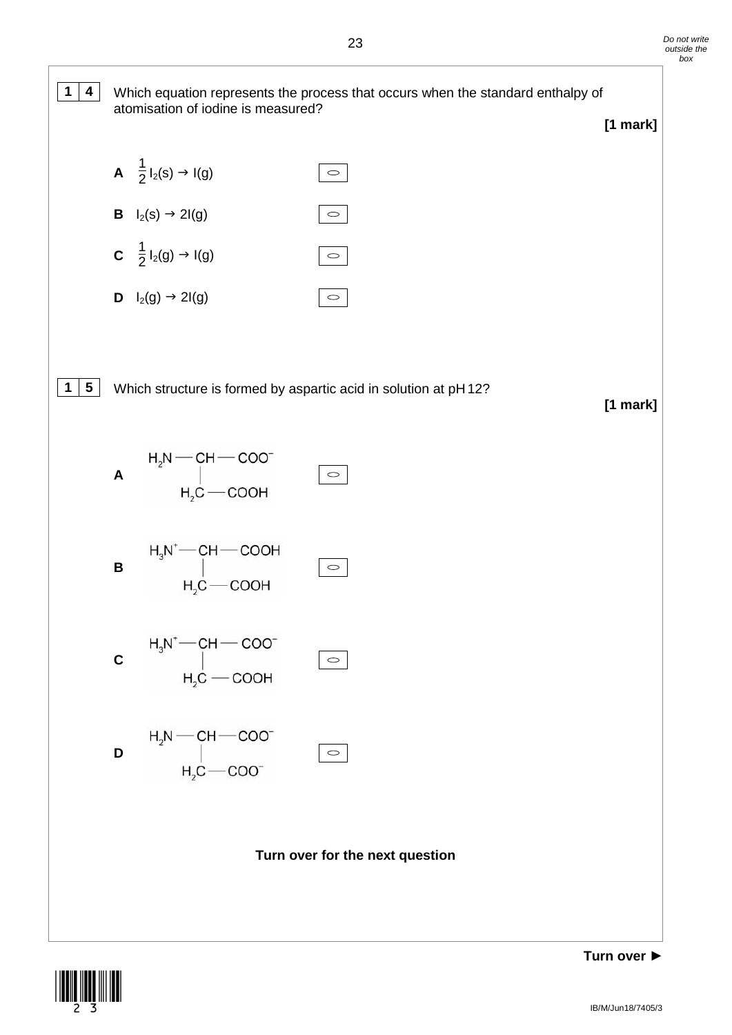

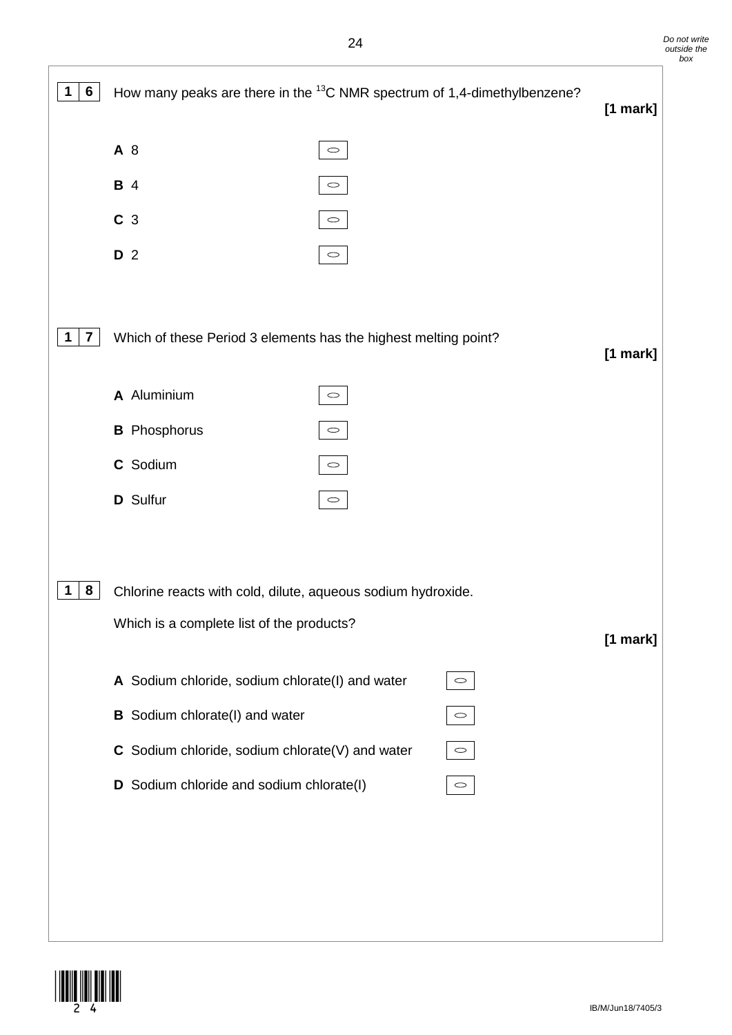| 6<br>1              | How many peaks are there in the $^{13}$ C NMR spectrum of 1,4-dimethylbenzene? |                     |                        | [1 mark] |
|---------------------|--------------------------------------------------------------------------------|---------------------|------------------------|----------|
|                     | A 8                                                                            | $\bigcirc$          |                        |          |
|                     | <b>B</b> 4                                                                     | $\bigcirc$          |                        |          |
|                     | C <sub>3</sub>                                                                 | $\circlearrowright$ |                        |          |
|                     | D <sub>2</sub>                                                                 | $\bigcirc$          |                        |          |
|                     |                                                                                |                     |                        |          |
| $\overline{7}$<br>1 | Which of these Period 3 elements has the highest melting point?                |                     |                        | [1 mark] |
|                     | A Aluminium                                                                    | $\circlearrowright$ |                        |          |
|                     | <b>B</b> Phosphorus                                                            | $\bigcirc$          |                        |          |
|                     | C Sodium                                                                       | $\circlearrowright$ |                        |          |
|                     | <b>D</b> Sulfur                                                                | $\circlearrowright$ |                        |          |
|                     |                                                                                |                     |                        |          |
| 8<br>1              | Chlorine reacts with cold, dilute, aqueous sodium hydroxide.                   |                     |                        |          |
|                     | Which is a complete list of the products?                                      |                     |                        | [1 mark] |
|                     |                                                                                |                     |                        |          |
|                     | A Sodium chloride, sodium chlorate(I) and water                                |                     | $\bigcirc$             |          |
|                     | <b>B</b> Sodium chlorate(I) and water                                          |                     | $\hspace{1.5cm} \circ$ |          |
|                     | $C$ Sodium chloride, sodium chlorate(V) and water                              |                     | $\circ$                |          |
|                     | D Sodium chloride and sodium chlorate(I)                                       |                     | $\bigcirc$             |          |
|                     |                                                                                |                     |                        |          |
|                     |                                                                                |                     |                        |          |
|                     |                                                                                |                     |                        |          |

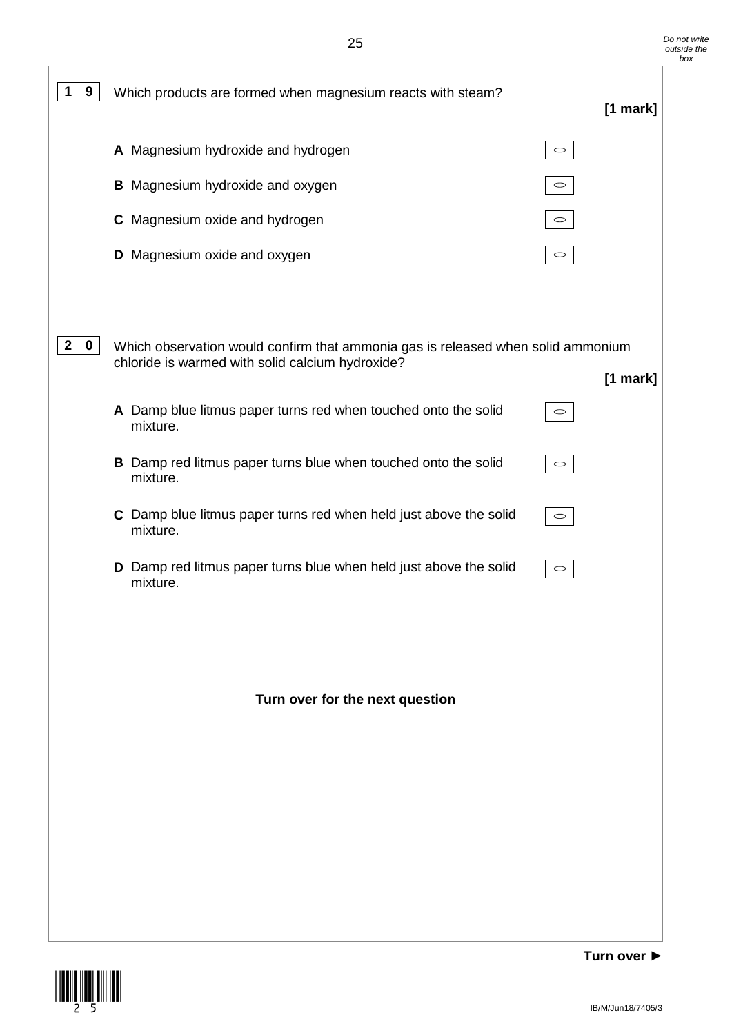| 9                           | Which products are formed when magnesium reacts with steam?                      | $[1$ mark]          |
|-----------------------------|----------------------------------------------------------------------------------|---------------------|
|                             |                                                                                  |                     |
|                             | A Magnesium hydroxide and hydrogen                                               | $\circlearrowright$ |
|                             | <b>B</b> Magnesium hydroxide and oxygen                                          | $\circ$             |
|                             | C Magnesium oxide and hydrogen                                                   | $\circ$             |
|                             | D Magnesium oxide and oxygen                                                     | $\circlearrowright$ |
|                             |                                                                                  |                     |
|                             |                                                                                  |                     |
| $\mathbf{2}$<br>$\mathbf 0$ | Which observation would confirm that ammonia gas is released when solid ammonium |                     |
|                             | chloride is warmed with solid calcium hydroxide?                                 | [1 mark]            |
|                             | A Damp blue litmus paper turns red when touched onto the solid<br>mixture.       | $\circ$             |
|                             | B Damp red litmus paper turns blue when touched onto the solid<br>mixture.       | $\circlearrowright$ |
|                             | C Damp blue litmus paper turns red when held just above the solid<br>mixture.    | $\circ$             |
|                             | D Damp red litmus paper turns blue when held just above the solid<br>mixture.    | $\circlearrowright$ |
|                             | Turn over for the next question                                                  |                     |
|                             |                                                                                  |                     |
|                             |                                                                                  |                     |
|                             |                                                                                  |                     |
|                             |                                                                                  |                     |
|                             |                                                                                  |                     |
|                             |                                                                                  |                     |
|                             |                                                                                  |                     |

25

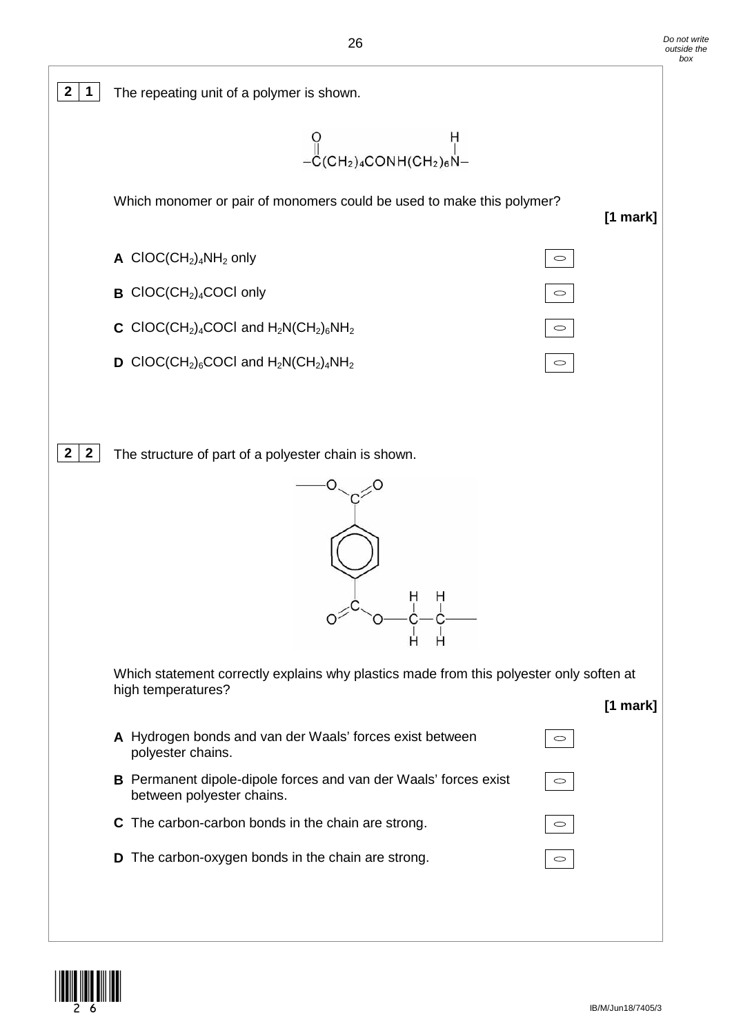

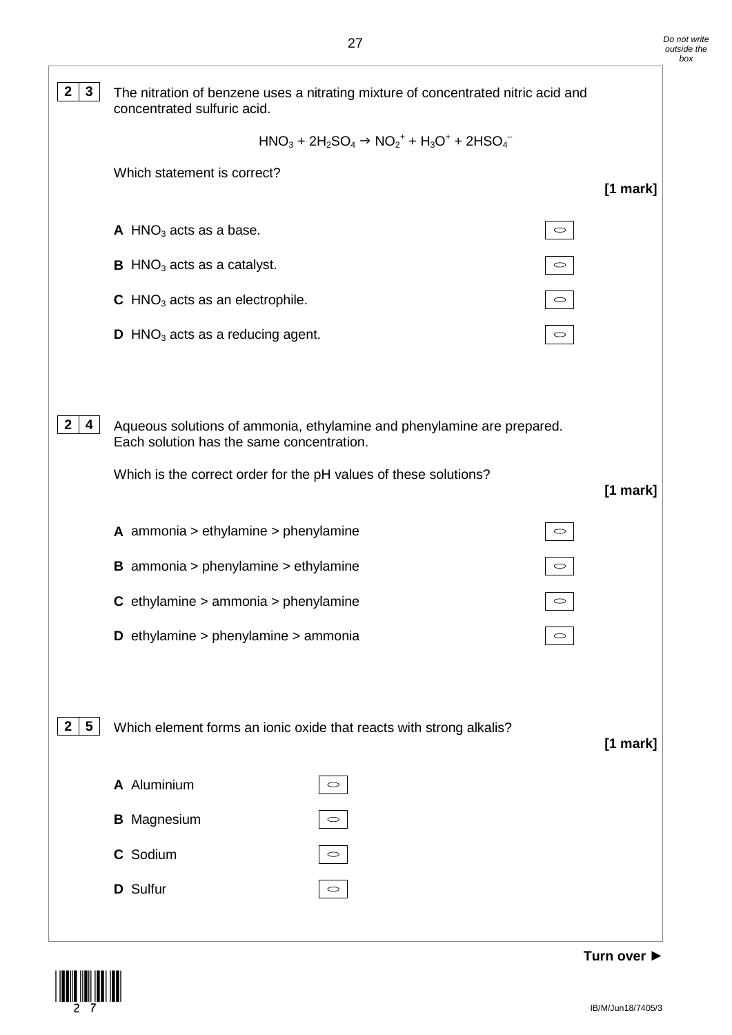

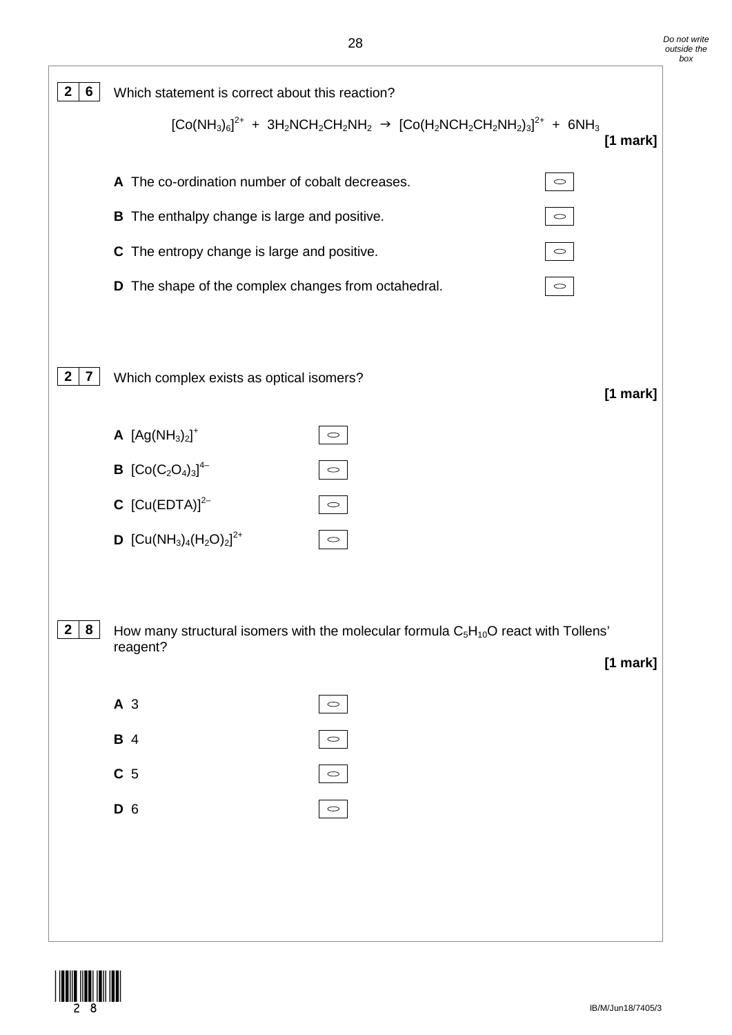

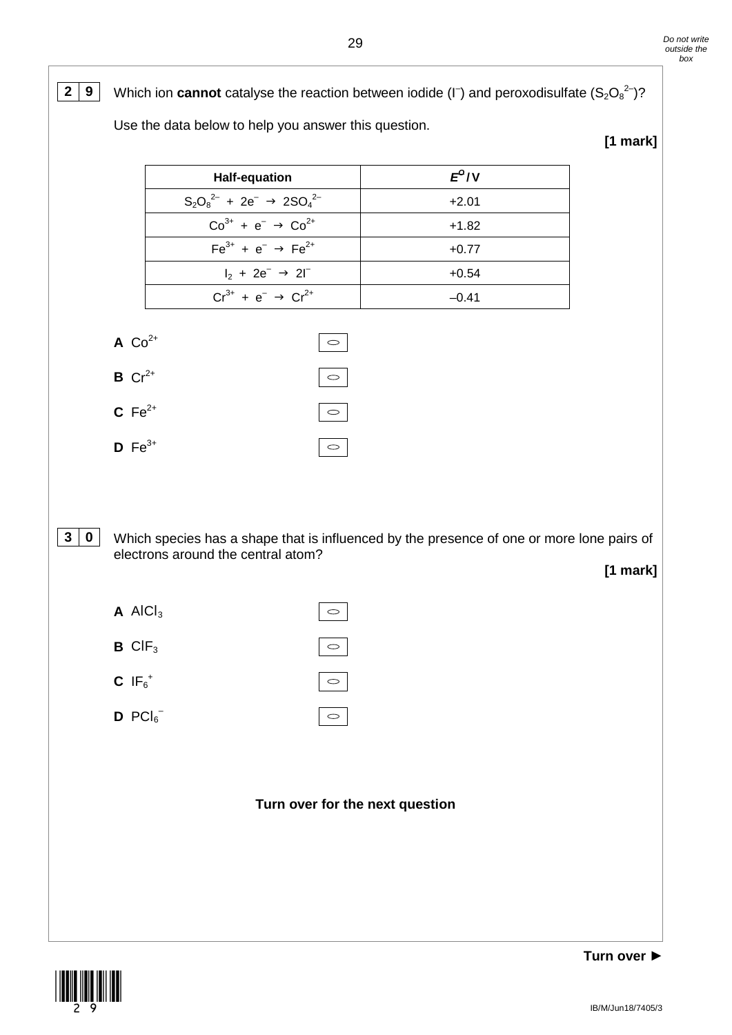

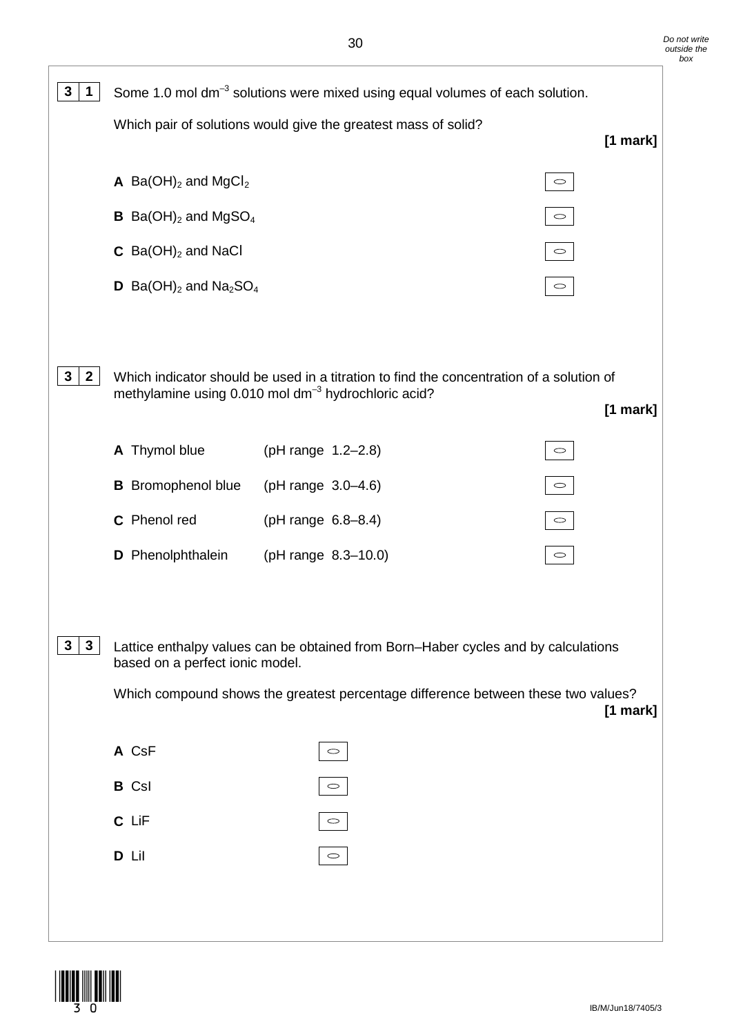|                     | Some 1.0 mol dm <sup>-3</sup> solutions were mixed using equal volumes of each solution.                                                                                                                                 |                     |                     |  |
|---------------------|--------------------------------------------------------------------------------------------------------------------------------------------------------------------------------------------------------------------------|---------------------|---------------------|--|
|                     | Which pair of solutions would give the greatest mass of solid?                                                                                                                                                           |                     |                     |  |
|                     |                                                                                                                                                                                                                          |                     | $[1$ mark]          |  |
|                     | <b>A</b> Ba(OH) <sub>2</sub> and MgCl <sub>2</sub>                                                                                                                                                                       |                     | $\circlearrowright$ |  |
|                     | <b>B</b> Ba(OH) <sub>2</sub> and MgSO <sub>4</sub>                                                                                                                                                                       |                     | $\circ$             |  |
|                     | C Ba(OH) $_2$ and NaCl                                                                                                                                                                                                   |                     | $\circ$             |  |
|                     | <b>D</b> Ba(OH) <sub>2</sub> and $Na2SO4$                                                                                                                                                                                |                     | $\circlearrowright$ |  |
|                     |                                                                                                                                                                                                                          |                     |                     |  |
|                     |                                                                                                                                                                                                                          |                     |                     |  |
| $\mathbf{2}$<br>3   | Which indicator should be used in a titration to find the concentration of a solution of<br>methylamine using 0.010 mol dm <sup>-3</sup> hydrochloric acid?                                                              |                     |                     |  |
|                     |                                                                                                                                                                                                                          |                     | [1 mark]            |  |
|                     | A Thymol blue                                                                                                                                                                                                            | (pH range 1.2-2.8)  | $\circ$             |  |
|                     | <b>B</b> Bromophenol blue                                                                                                                                                                                                | (pH range 3.0-4.6)  | $\circ$             |  |
|                     | C Phenol red                                                                                                                                                                                                             | (pH range 6.8-8.4)  | $\circ$             |  |
|                     | D Phenolphthalein                                                                                                                                                                                                        | (pH range 8.3-10.0) | $\circ$             |  |
|                     |                                                                                                                                                                                                                          |                     |                     |  |
|                     |                                                                                                                                                                                                                          |                     |                     |  |
| 3<br>$3\phantom{a}$ | Lattice enthalpy values can be obtained from Born-Haber cycles and by calculations<br>based on a perfect ionic model.<br>Which compound shows the greatest percentage difference between these two values?<br>$[1$ mark] |                     |                     |  |
|                     |                                                                                                                                                                                                                          |                     |                     |  |
|                     | A CsF                                                                                                                                                                                                                    | $\circlearrowright$ |                     |  |
|                     | <b>B</b> CsI                                                                                                                                                                                                             | $\circlearrowright$ |                     |  |
|                     | C LiF                                                                                                                                                                                                                    | $\circlearrowright$ |                     |  |
|                     | D Lil                                                                                                                                                                                                                    | $\circ$             |                     |  |
|                     |                                                                                                                                                                                                                          |                     |                     |  |
|                     |                                                                                                                                                                                                                          |                     |                     |  |

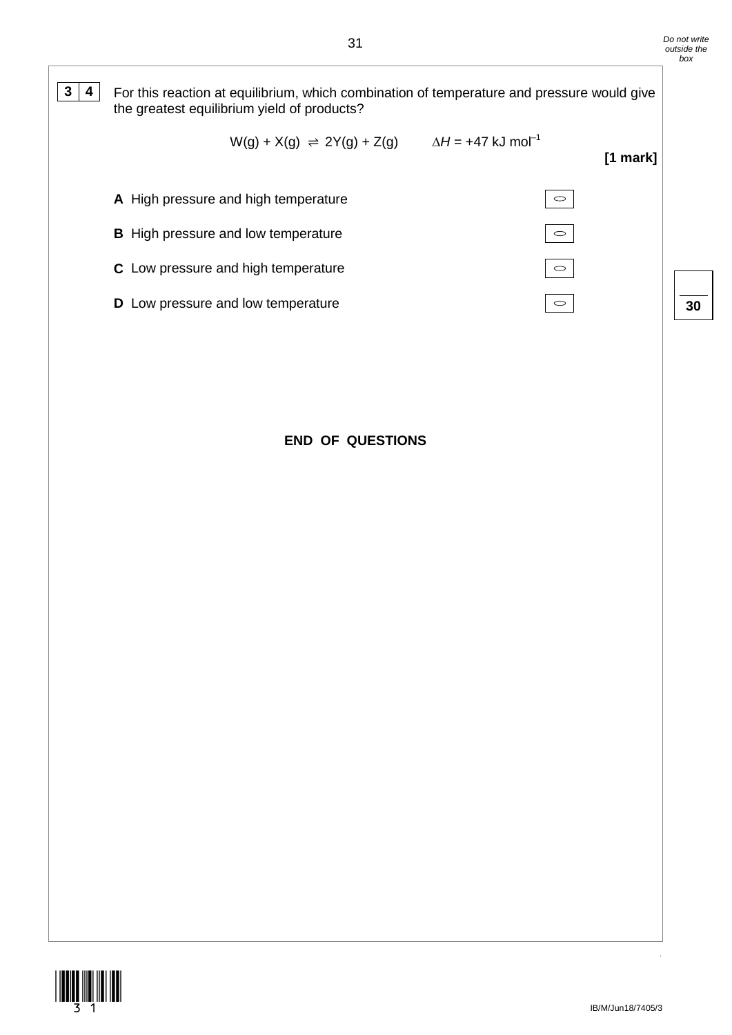

**30**



**END OF QUESTIONS**